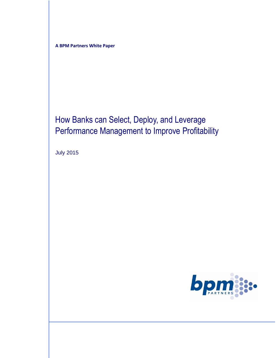**A BPM Partners White Paper**

# How Banks can Select, Deploy, and Leverage Performance Management to Improve Profitability

July 2015

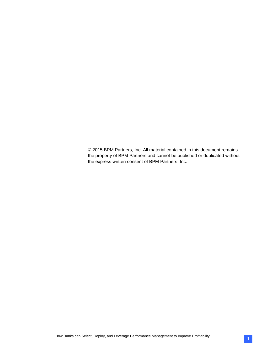© 2015 BPM Partners, Inc. All material contained in this document remains the property of BPM Partners and cannot be published or duplicated without the express written consent of BPM Partners, Inc.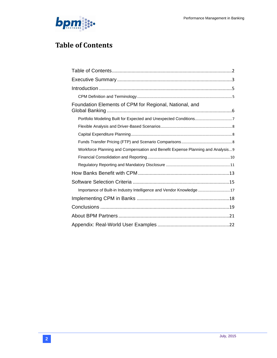

# <span id="page-3-0"></span>**Table of Contents**

| Foundation Elements of CPM for Regional, National, and                          |
|---------------------------------------------------------------------------------|
|                                                                                 |
|                                                                                 |
|                                                                                 |
|                                                                                 |
| Workforce Planning and Compensation and Benefit Expense Planning and Analysis 9 |
|                                                                                 |
|                                                                                 |
|                                                                                 |
|                                                                                 |
| Importance of Built-in Industry Intelligence and Vendor Knowledge 17            |
|                                                                                 |
|                                                                                 |
|                                                                                 |
|                                                                                 |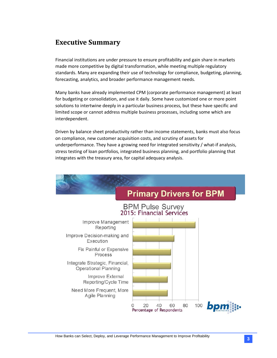## <span id="page-4-0"></span>**Executive Summary**

Financial institutions are under pressure to ensure profitability and gain share in markets made more competitive by digital transformation, while meeting multiple regulatory standards. Many are expanding their use of technology for compliance, budgeting, planning, forecasting, analytics, and broader performance management needs.

Many banks have already implemented CPM (corporate performance management) at least for budgeting or consolidation, and use it daily. Some have customized one or more point solutions to intertwine deeply in a particular business process, but these have specific and limited scope or cannot address multiple business processes, including some which are interdependent.

Driven by balance sheet productivity rather than income statements, banks must also focus on compliance, new customer acquisition costs, and scrutiny of assets for underperformance. They have a growing need for integrated sensitivity / what-if analysis, stress testing of loan portfolios, integrated business planning, and portfolio planning that integrates with the treasury area, for capital adequacy analysis.

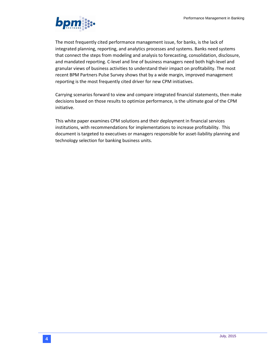

The most frequently cited performance management issue, for banks, is the lack of integrated planning, reporting, and analytics processes and systems. Banks need systems that connect the steps from modeling and analysis to forecasting, consolidation, disclosure, and mandated reporting. C-level and line of business managers need both high-level and granular views of business activities to understand their impact on profitability. The most recent BPM Partners Pulse Survey shows that by a wide margin, improved management reporting is the most frequently cited driver for new CPM initiatives.

Carrying scenarios forward to view and compare integrated financial statements, then make decisions based on those results to optimize performance, is the ultimate goal of the CPM initiative.

This white paper examines CPM solutions and their deployment in financial services institutions, with recommendations for implementations to increase profitability. This document is targeted to executives or managers responsible for asset-liability planning and technology selection for banking business units.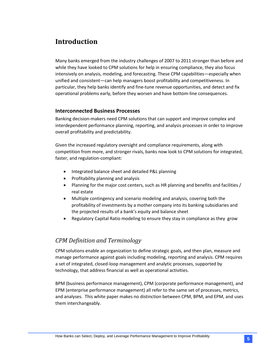# <span id="page-6-0"></span>**Introduction**

Many banks emerged from the industry challenges of 2007 to 2011 stronger than before and while they have looked to CPM solutions for help in ensuring compliance, they also focus intensively on analysis, modeling, and forecasting. These CPM capabilities—especially when unified and consistent—can help managers boost profitability and competitiveness. In particular, they help banks identify and fine-tune revenue opportunities, and detect and fix operational problems early, before they worsen and have bottom-line consequences.

#### **Interconnected Business Processes**

Banking decision-makers need CPM solutions that can support and improve complex and interdependent performance planning, reporting, and analysis processes in order to improve overall profitability and predictability.

Given the increased regulatory oversight and compliance requirements, along with competition from more, and stronger rivals, banks now look to CPM solutions for integrated, faster, and regulation-compliant:

- Integrated balance sheet and detailed P&L planning
- Profitability planning and analysis
- Planning for the major cost centers, such as HR planning and benefits and facilities / real estate
- Multiple contingency and scenario modeling and analysis, covering both the profitability of investments by a mother company into its banking subsidiaries and the projected results of a bank's equity and balance sheet
- Regulatory Capital Ratio modeling to ensure they stay in compliance as they grow

## <span id="page-6-1"></span>*CPM Definition and Terminology*

CPM solutions enable an organization to define strategic goals, and then plan, measure and manage performance against goals including modeling, reporting and analysis. CPM requires a set of integrated, closed-loop management and analytic processes, supported by technology, that address financial as well as operational activities.

BPM (business performance management), CPM (corporate performance management), and EPM (enterprise performance management) all refer to the same set of processes, metrics, and analyses. This white paper makes no distinction between CPM, BPM, and EPM, and uses them interchangeably.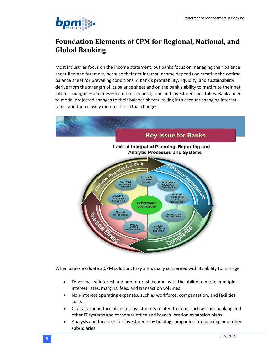

# <span id="page-7-0"></span>**Foundation Elements of CPM for Regional, National, and Global Banking**

Most industries focus on the income statement, but banks focus on managing their balance sheet first and foremost, because their net interest income depends on creating the optimal balance sheet for prevailing conditions. A bank's profitability, liquidity, and sustainability derive from the strength of its balance sheet and on the bank's ability to maximize their net interest margins—and fees—from their deposit, loan and investment portfolios. Banks need to model projected changes to their balance sheets, taking into account changing interest rates, and then closely monitor the actual changes.



When banks evaluate a CPM solution, they are usually concerned with its ability to manage:

- Driver-based interest and non-interest income, with the ability to model multiple interest rates, margins, fees, and transaction volumes
- Non-interest operating expenses, such as workforce, compensation, and facilities costs
- Capital expenditure plans for investments related to items such as core banking and other IT systems and corporate office and branch location expansion plans
- Analysis and forecasts for investments by holding companies into banking and other subsidiaries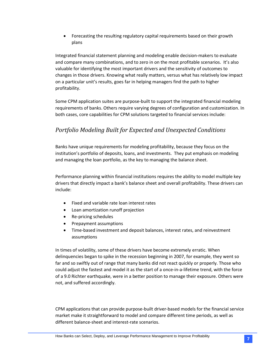• Forecasting the resulting regulatory capital requirements based on their growth plans

Integrated financial statement planning and modeling enable decision-makers to evaluate and compare many combinations, and to zero in on the most profitable scenarios. It's also valuable for identifying the most important drivers and the sensitivity of outcomes to changes in those drivers. Knowing what really matters, versus what has relatively low impact on a particular unit's results, goes far in helping managers find the path to higher profitability.

Some CPM application suites are purpose-built to support the integrated financial modeling requirements of banks. Others require varying degrees of configuration and customization. In both cases, core capabilities for CPM solutions targeted to financial services include:

## <span id="page-8-0"></span>*Portfolio Modeling Built for Expected and Unexpected Conditions*

Banks have unique requirements for modeling profitability, because they focus on the institution's portfolio of deposits, loans, and investments. They put emphasis on modeling and managing the loan portfolio, as the key to managing the balance sheet.

Performance planning within financial institutions requires the ability to model multiple key drivers that directly impact a bank's balance sheet and overall profitability. These drivers can include:

- Fixed and variable rate loan interest rates
- Loan amortization runoff projection
- Re-pricing schedules
- Prepayment assumptions
- Time-based investment and deposit balances, interest rates, and reinvestment assumptions

In times of volatility, some of these drivers have become extremely erratic. When delinquencies began to spike in the recession beginning in 2007, for example, they went so far and so swiftly out of range that many banks did not react quickly or properly. Those who could adjust the fastest and model it as the start of a once-in-a-lifetime trend, with the force of a 9.0 Richter earthquake, were in a better position to manage their exposure. Others were not, and suffered accordingly.

CPM applications that can provide purpose-built driver-based models for the financial service market make it straightforward to model and compare different time periods, as well as different balance-sheet and interest-rate scenarios.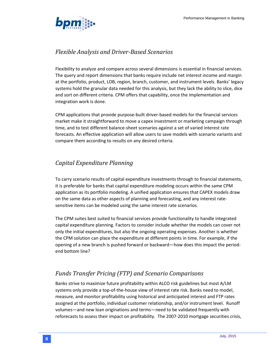

## <span id="page-9-0"></span>*Flexible Analysis and Driver-Based Scenarios*

Flexibility to analyze and compare across several dimensions is essential in financial services. The query and report dimensions that banks require include net interest income and margin at the portfolio, product, LOB, region, branch, customer, and instrument levels. Banks' legacy systems hold the granular data needed for this analysis, but they lack the ability to slice, dice and sort on different criteria. CPM offers that capability, once the implementation and integration work is done.

CPM applications that provide purpose-built driver-based models for the financial services market make it straightforward to move a capex investment or marketing campaign through time, and to test different balance-sheet scenarios against a set of varied interest rate forecasts. An effective application will allow users to save models with scenario variants and compare them according to results on any desired criteria.

## <span id="page-9-1"></span>*Capital Expenditure Planning*

To carry scenario results of capital expenditure investments through to financial statements, it is preferable for banks that capital expenditure modeling occurs within the same CPM application as its portfolio modeling. A unified application ensures that CAPEX models draw on the same data as other aspects of planning and forecasting, and any interest ratesensitive items can be modeled using the same interest rate scenarios.

The CPM suites best suited to financial services provide functionality to handle integrated capital expenditure planning. Factors to consider include whether the models can cover not only the initial expenditures, but also the ongoing operating expenses. Another is whether the CPM solution can place the expenditure at different points in time. For example, if the opening of a new branch is pushed forward or backward—how does this impact the periodend bottom line?

## <span id="page-9-2"></span>*Funds Transfer Pricing (FTP) and Scenario Comparisons*

Banks strive to maximize future profitability within ALCO risk guidelines but most A/LM systems only provide a top-of-the-house view of interest rate risk. Banks need to model, measure, and monitor profitability using historical and anticipated interest and FTP rates assigned at the portfolio, individual customer relationship, and/or instrument level. Runoff volumes—and new loan originations and terms—need to be validated frequently with reforecasts to assess their impact on profitability. The 2007-2010 mortgage securities crisis,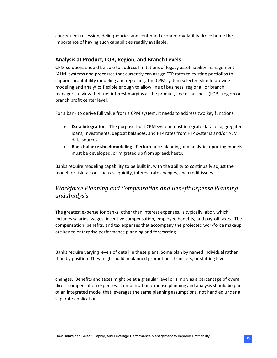consequent recession, delinquencies and continued economic volatility drove home the importance of having such capabilities readily available.

## **Analysis at Product, LOB, Region, and Branch Levels**

CPM solutions should be able to address limitations of legacy asset liability management (ALM) systems and processes that currently can assign FTP rates to existing portfolios to support profitability modeling and reporting. The CPM system selected should provide modeling and analytics flexible enough to allow line of business, regional, or branch managers to view their net interest margins at the product, line of business (LOB), region or branch profit center level.

For a bank to derive full value from a CPM system, it needs to address two key functions:

- **Data integration** The purpose-built CPM system must integrate data on aggregated loans, investments, deposit balances, and FTP rates from FTP systems and/or ALM data sources.
- **Bank balance sheet modeling -** Performance planning and analytic reporting models must be developed, or migrated up from spreadsheets.

Banks require modeling capability to be built in, with the ability to continually adjust the model for risk factors such as liquidity, interest rate changes, and credit issues.

## <span id="page-10-0"></span>*Workforce Planning and Compensation and Benefit Expense Planning and Analysis*

The greatest expense for banks, other than interest expenses, is typically labor, which includes salaries, wages, incentive compensation, employee benefits, and payroll taxes. The compensation, benefits, and tax expenses that accompany the projected workforce makeup are key to enterprise performance planning and forecasting.

Banks require varying levels of detail in these plans. Some plan by named individual rather than by position. They might build in planned promotions, transfers, or staffing level

changes. Benefits and taxes might be at a granular level or simply as a percentage of overall direct compensation expenses. Compensation expense planning and analysis should be part of an integrated model that leverages the same planning assumptions, not handled under a separate application.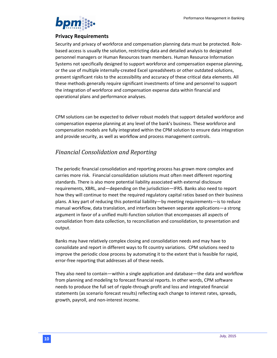

#### **Privacy Requirements**

Security and privacy of workforce and compensation planning data must be protected. Rolebased access is usually the solution, restricting data and detailed analysis to designated personnel managers or Human Resources team members. Human Resource Information Systems not specifically designed to support workforce and compensation expense planning, or the use of multiple internally-created Excel spreadsheets or other outdated solutions, present significant risks to the accessibility and accuracy of these critical data elements. All these methods generally require significant investments of time and personnel to support the integration of workforce and compensation expense data within financial and operational plans and performance analyses.

CPM solutions can be expected to deliver robust models that support detailed workforce and compensation expense planning at any level of the bank's business. These workforce and compensation models are fully integrated within the CPM solution to ensure data integration and provide security, as well as workflow and process management controls.

## <span id="page-11-0"></span>*Financial Consolidation and Reporting*

The periodic financial consolidation and reporting process has grown more complex and carries more risk. Financial consolidation solutions must often meet different reporting standards. There is also more potential liability associated with external disclosure requirements, XBRL, and—depending on the jurisdiction—IFRS. Banks also need to report how they will continue to meet the required regulatory capital ratios based on their business plans. A key part of reducing this potential liability—by meeting requirements—is to reduce manual workflow, data translation, and interfaces between separate applications—a strong argument in favor of a unified multi-function solution that encompasses all aspects of consolidation from data collection, to reconciliation and consolidation, to presentation and output.

Banks may have relatively complex closing and consolidation needs and may have to consolidate and report in different ways to fit country variations. CPM solutions need to improve the periodic close process by automating it to the extent that is feasible for rapid, error-free reporting that addresses all of these needs.

They also need to contain—within a single application and database—the data and workflow from planning and modeling to forecast financial reports. In other words, CPM software needs to produce the full set of ripple-through profit and loss and integrated financial statements (as scenario forecast results) reflecting each change to interest rates, spreads, growth, payroll, and non-interest income.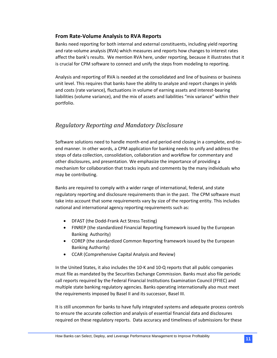### **From Rate-Volume Analysis to RVA Reports**

Banks need reporting for both internal and external constituents, including yield reporting and rate-volume analysis (RVA) which measures and reports how changes to interest rates affect the bank's results. We mention RVA here, under reporting, because it illustrates that it is crucial for CPM software to connect and unify the steps from modeling to reporting.

Analysis and reporting of RVA is needed at the consolidated and line of business or business unit level. This requires that banks have the ability to analyze and report changes in yields and costs (rate variance), fluctuations in volume of earning assets and interest-bearing liabilities (volume variance), and the mix of assets and liabilities "mix variance" within their portfolio.

## <span id="page-12-0"></span>*Regulatory Reporting and Mandatory Disclosure*

Software solutions need to handle month-end and period-end closing in a complete, end-toend manner. In other words, a CPM application for banking needs to unify and address the steps of data collection, consolidation, collaboration and workflow for commentary and other disclosures, and presentation. We emphasize the importance of providing a mechanism for collaboration that tracks inputs and comments by the many individuals who may be contributing.

Banks are required to comply with a wider range of international, federal, and state regulatory reporting and disclosure requirements than in the past. The CPM software must take into account that some requirements vary by size of the reporting entity. This includes national and international agency reporting requirements such as:

- DFAST (the Dodd-Frank Act Stress Testing)
- FINREP (the standardized Financial Reporting framework issued by the European Banking Authority)
- COREP (the standardized Common Reporting framework issued by the European Banking Authority)
- CCAR (Comprehensive Capital Analysis and Review)

In the United States, it also includes the 10-K and 10-Q reports that all public companies must file as mandated by the Securities Exchange Commission. Banks must also file periodic call reports required by the Federal Financial Institutions Examination Council (FFIEC) and multiple state banking regulatory agencies. Banks operating internationally also must meet the requirements imposed by Basel II and its successor, Basel III.

It is still uncommon for banks to have fully integrated systems and adequate process controls to ensure the accurate collection and analysis of essential financial data and disclosures required on these regulatory reports. Data accuracy and timeliness of submissions for these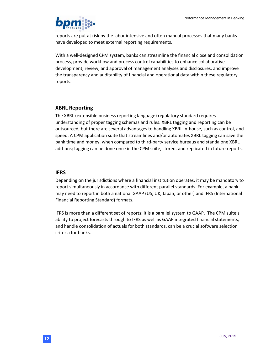

reports are put at risk by the labor intensive and often manual processes that many banks have developed to meet external reporting requirements.

With a well-designed CPM system, banks can streamline the financial close and consolidation process, provide workflow and process control capabilities to enhance collaborative development, review, and approval of management analyses and disclosures, and improve the transparency and auditability of financial and operational data within these regulatory reports.

#### **XBRL Reporting**

The XBRL (extensible business reporting language) regulatory standard requires understanding of proper tagging schemas and rules. XBRL tagging and reporting can be outsourced, but there are several advantages to handling XBRL in-house, such as control, and speed. A CPM application suite that streamlines and/or automates XBRL tagging can save the bank time and money, when compared to third-party service bureaus and standalone XBRL add-ons; tagging can be done once in the CPM suite, stored, and replicated in future reports.

#### **IFRS**

Depending on the jurisdictions where a financial institution operates, it may be mandatory to report simultaneously in accordance with different parallel standards. For example, a bank may need to report in both a national GAAP (US, UK, Japan, or other] and IFRS (International Financial Reporting Standard) formats.

IFRS is more than a different set of reports; it is a parallel system to GAAP. The CPM suite's ability to project forecasts through to IFRS as well as GAAP integrated financial statements, and handle consolidation of actuals for both standards, can be a crucial software selection criteria for banks.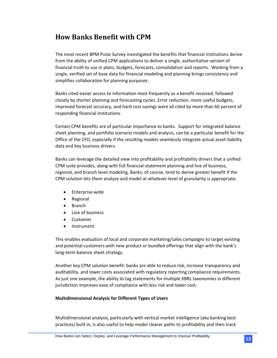# <span id="page-14-0"></span>**How Banks Benefit with CPM**

The most recent BPM Pulse Survey investigated the benefits that financial institutions derive from the ability of unified CPM applications to deliver a single, authoritative version of financial truth to use in plans, budgets, forecasts, consolidation and reports. Working from a single, verified set of base data for financial modeling and planning brings consistency and simplifies collaboration for planning purposes.

Banks cited easier access to information most frequently as a benefit received, followed closely by shorter planning and forecasting cycles. Error reduction, more useful budgets, improved forecast accuracy, and hard cost savings were all cited by more than 60 percent of responding financial institutions.

Certain CPM benefits are of particular importance to banks. Support for integrated balance sheet planning, and portfolio scenario models and analysis, can be a particular benefit for the Office of the CFO, especially if the resulting models seamlessly integrate actual asset-liability data and key business drivers.

Banks can leverage the detailed view into profitability and profitability drivers that a unified CPM suite provides, along with full financial-statement planning and line of business, regional, and branch level modeling. Banks, of course, tend to derive greater benefit if the CPM solution lets them analyze and model at whatever level of granularity is appropriate:

- Enterprise-wide
- Regional
- Branch
- Line of business
- Customer
- Instrument

This enables evaluation of local and corporate marketing/sales campaigns to target existing and potential customers with new product or bundled offerings that align with the bank's long-term balance sheet strategy.

Another key CPM solution benefit: banks are able to reduce risk, increase transparency and auditability, and lower costs associated with regulatory reporting compliance requirements. As just one example, the ability to tag statements for multiple XBRL taxonomies in different jurisdiction improves ease of compliance with less risk and lower cost.

#### **Multidimensional Analysis for Different Types of Users**

Multidimensional analysis, particularly with vertical market intelligence (aka banking best practices) built in, is also useful to help model clearer paths to profitability and then track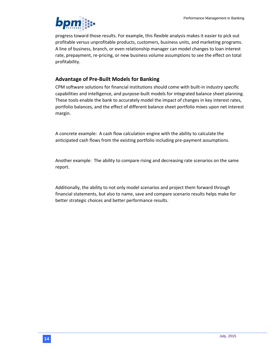

progress toward those results. For example, this flexible analysis makes it easier to pick out profitable versus unprofitable products, customers, business units, and marketing programs. A line of business, branch, or even relationship manager can model changes to loan interest rate, prepayment, re-pricing, or new business volume assumptions to see the effect on total profitability.

## **Advantage of Pre-Built Models for Banking**

CPM software solutions for financial institutions should come with built-in industry specific capabilities and intelligence, and purpose-built models for integrated balance sheet planning. These tools enable the bank to accurately model the impact of changes in key interest rates, portfolio balances, and the effect of different balance sheet portfolio mixes upon net interest margin.

A concrete example: A cash flow calculation engine with the ability to calculate the anticipated cash flows from the existing portfolio including pre-payment assumptions.

Another example: The ability to compare rising and decreasing rate scenarios on the same report.

Additionally, the ability to not only model scenarios and project them forward through financial statements, but also to name, save and compare scenario results helps make for better strategic choices and better performance results.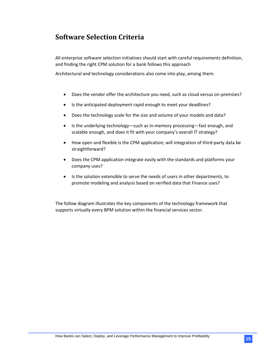# <span id="page-16-0"></span>**Software Selection Criteria**

All enterprise software selection initiatives should start with careful requirements definition, and finding the right CPM solution for a bank follows this approach

Architectural and technology considerations also come into play, among them:

- Does the vendor offer the architecture you need, such as cloud versus on-premises?
- Is the anticipated deployment rapid enough to meet your deadlines?
- Does the technology scale for the size and volume of your models and data?
- Is the underlying technology—such as in-memory processing—fast enough, and scalable enough, and does it fit with your company's overall IT strategy?
- How open and flexible is the CPM application; will integration of third-party data be straightforward?
- Does the CPM application integrate easily with the standards and platforms your company uses?
- Is the solution extensible to serve the needs of users in other departments, to promote modeling and analysis based on verified data that Finance uses?

The follow diagram illustrates the key components of the technology framework that supports virtually every BPM solution within the financial services sector.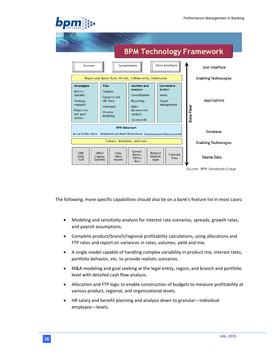#### **BPM Technology Framework** Other Interfaces Browser Spreadsheets User Interface Report and Query Tools, Portals, Collaboration, Dashboards **Enabling Technologies** Corrective Strategize Plan Monitor and Analyze Action Metrics **Budgets** builders Consolidation Alerts Capacity and Applications Reporting Target Strategy **HR Plans** mappers Management Forecasts Multi-Data Flow Objective dimensional Process and goal analysis Modeling setters Scorecards **BPM Datamart** Database Actual & Plan Data Relational and Multi-Dimensional Structured and Unstructured Extract, Transform, and Load **Enabling Technologies** Spread ERP. Other Data Related sheets, External CRM, Ware Analytic Source Data Legacy Office Data **SCM** Systems houses Apps docs Source: BPM Standards Group

The following, more specific capabilities should also be on a bank's feature list in most cases:

- Modeling and sensitivity analysis for interest rate scenarios, spreads, growth rates, and payroll assumptions.
- Complete product/branch/regional profitability calculations, using allocations and FTP rates and report on variances in rates, volumes, yield and mix.
- A single model capable of handling complex variability in product mix, interest rates, portfolio behavior, etc. to provide realistic scenarios.
- M&A modeling and goal seeking at the legal entity, region, and branch and portfolio level with detailed cash flow analysis.
- Allocation and FTP logic to enable construction of budgets to measure profitability at various product, regional, and organizational levels.
- HR salary and benefit planning and analysis down to granular—individual employee—levels.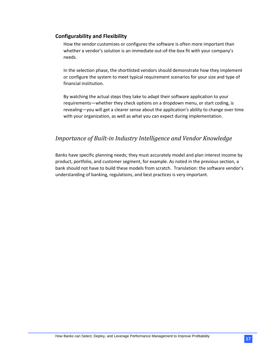### **Configurability and Flexibility**

How the vendor customizes or configures the software is often more important than whether a vendor's solution is an immediate out-of-the-box fit with your company's needs.

In the selection phase, the shortlisted vendors should demonstrate how they implement or configure the system to meet typical requirement scenarios for your size and type of financial institution.

By watching the actual steps they take to adapt their software application to your requirements—whether they check options on a dropdown menu, or start coding, is revealing—you will get a clearer sense about the application's ability to change over time with your organization, as well as what you can expect during implementation.

## <span id="page-18-0"></span>*Importance of Built-in Industry Intelligence and Vendor Knowledge*

Banks have specific planning needs; they must accurately model and plan interest income by product, portfolio, and customer segment, for example. As noted in the previous section, a bank should not have to build these models from scratch. Translation: the software vendor's understanding of banking, regulations, and best practices is very important.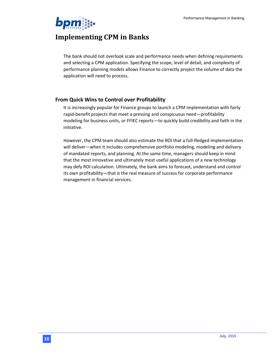

# <span id="page-19-0"></span>**Implementing CPM in Banks**

The bank should not overlook scale and performance needs when defining requirements and selecting a CPM application. Specifying the scope, level of detail, and complexity of performance planning models allows Finance to correctly project the volume of data the application will need to process.

### **From Quick Wins to Control over Profitability**

It is increasingly popular for Finance groups to launch a CPM implementation with fairly rapid-benefit projects that meet a pressing and conspicuous need—profitability modeling for business units, or FFIEC reports—to quickly build credibility and faith in the initiative.

However, the CPM team should also estimate the ROI that a full-fledged implementation will deliver—when it includes comprehensive portfolio modeling, modeling and delivery of mandated reports, and planning. At the same time, managers should keep in mind that the most innovative and ultimately most useful applications of a new technology may defy ROI calculation. Ultimately, the bank aims to forecast, understand and control its own profitability—that is the real measure of success for corporate performance management in financial services.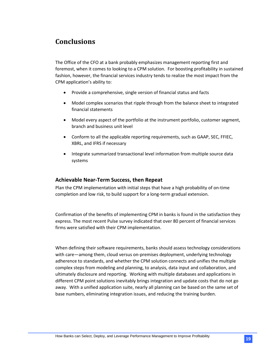# <span id="page-20-0"></span>**Conclusions**

The Office of the CFO at a bank probably emphasizes management reporting first and foremost, when it comes to looking to a CPM solution. For boosting profitability in sustained fashion, however, the financial services industry tends to realize the most impact from the CPM application's ability to:

- Provide a comprehensive, single version of financial status and facts
- Model complex scenarios that ripple through from the balance sheet to integrated financial statements
- Model every aspect of the portfolio at the instrument portfolio, customer segment, branch and business unit level
- Conform to all the applicable reporting requirements, such as GAAP, SEC, FFIEC, XBRL, and IFRS if necessary
- Integrate summarized transactional level information from multiple source data systems

### **Achievable Near-Term Success, then Repeat**

Plan the CPM implementation with initial steps that have a high probability of on-time completion and low risk, to build support for a long-term gradual extension.

Confirmation of the benefits of implementing CPM in banks is found in the satisfaction they express. The most recent Pulse survey indicated that over 80 percent of financial services firms were satisfied with their CPM implementation.

When defining their software requirements, banks should assess technology considerations with care—among them, cloud versus on-premises deployment, underlying technology adherence to standards, and whether the CPM solution connects and unifies the multiple complex steps from modeling and planning, to analysis, data input and collaboration, and ultimately disclosure and reporting. Working with multiple databases and applications in different CPM point solutions inevitably brings integration and update costs that do not go away. With a unified application suite, nearly all planning can be based on the same set of base numbers, eliminating integration issues, and reducing the training burden.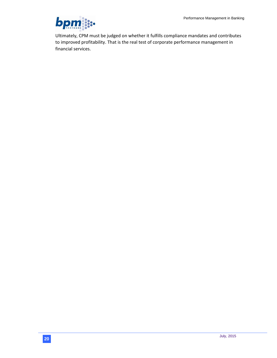

Ultimately, CPM must be judged on whether it fulfills compliance mandates and contributes to improved profitability. That is the real test of corporate performance management in financial services.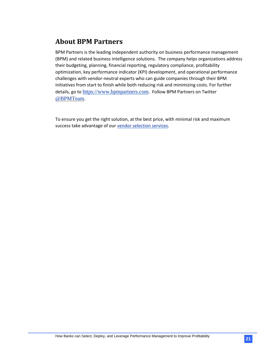# <span id="page-22-0"></span>**About BPM Partners**

BPM Partners is the leading independent authority on business performance management (BPM) and related business intelligence solutions. The company helps organizations address their budgeting, planning, financial reporting, regulatory compliance, profitability optimization, key performance indicator (KPI) development, and operational performance challenges with vendor-neutral experts who can guide companies through their BPM initiatives from start to finish while both reducing risk and minimizing costs. For further details, go to [https://www.bpmpartners.com](https://www.bpmpartners.com/). Follow BPM Partners on Twitter [@BPMTeam](https://twitter.com/BPMTeam).

To ensure you get the right solution, at the best price, with minimal risk and maximum success take advantage of our [vendor selection services.](https://www.bpmpartners.com/services/vendor-selection-services/)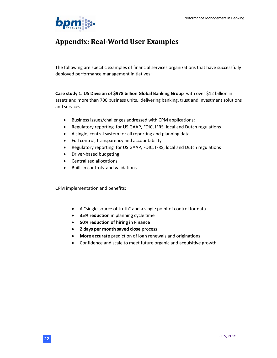

# <span id="page-23-0"></span>**Appendix: Real-World User Examples**

The following are specific examples of financial services organizations that have successfully deployed performance management initiatives:

**Case study 1: US Division of \$978 billion Global Banking Group** with over \$12 billion in assets and more than 700 business units., delivering banking, trust and investment solutions and services.

- Business issues/challenges addressed with CPM applications:
- Regulatory reporting for US GAAP, FDIC, IFRS, local and Dutch regulations
- A single, central system for all reporting and planning data
- Full control, transparency and accountability
- Regulatory reporting for US GAAP, FDIC, IFRS, local and Dutch regulations
- Driver-based budgeting
- Centralized allocations
- Built-in controls and validations

CPM implementation and benefits:

- A "single source of truth" and a single point of control for data
- **35% reduction** in planning cycle time
- **50% reduction of hiring in Finance**
- **2 days per month saved close** process
- **More accurate** prediction of loan renewals and originations
- Confidence and scale to meet future organic and acquisitive growth